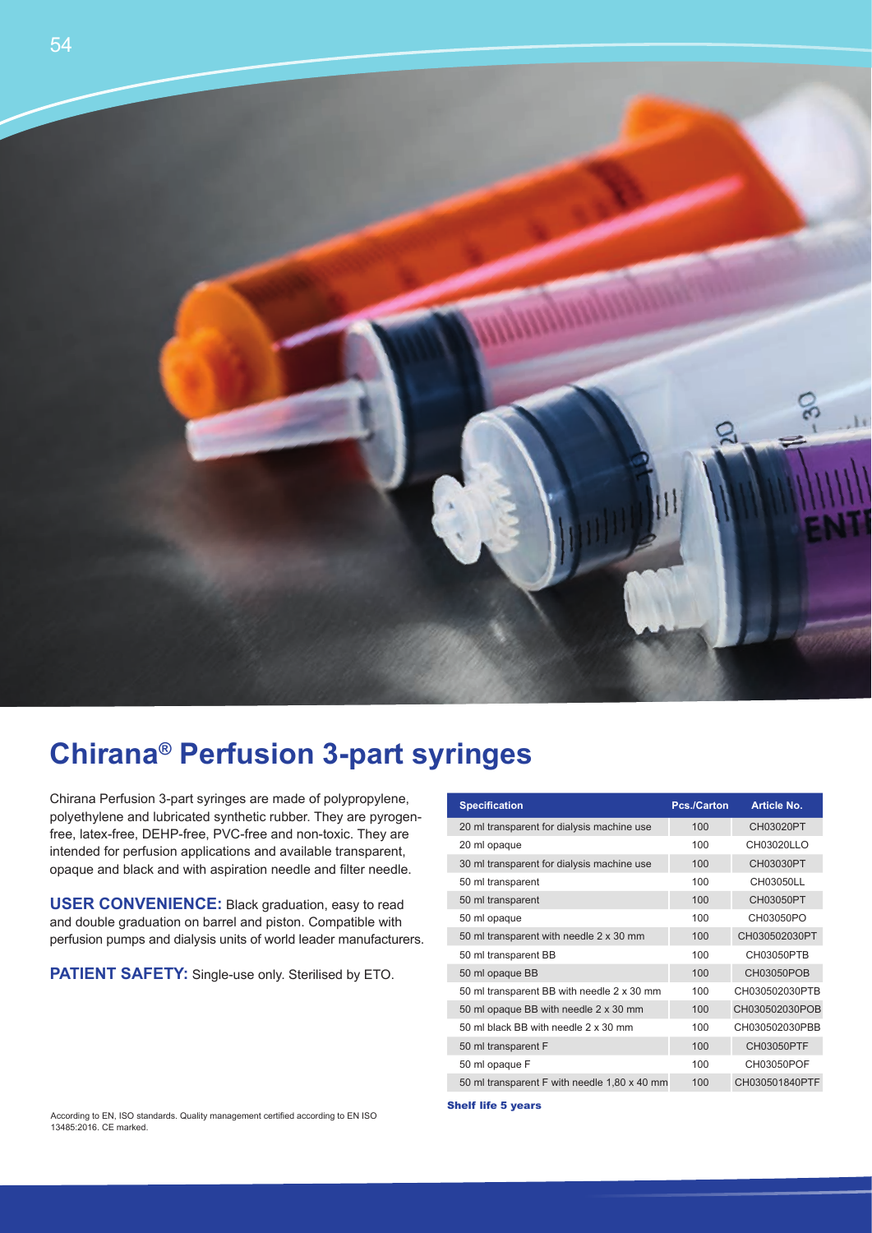

## **Chirana® Perfusion 3-part syringes**

Chirana Perfusion 3-part syringes are made of polypropylene, polyethylene and lubricated synthetic rubber. They are pyrogenfree, latex-free, DEHP-free, PVC-free and non-toxic. They are intended for perfusion applications and available transparent, opaque and black and with aspiration needle and filter needle.

**USER CONVENIENCE:** Black graduation, easy to read and double graduation on barrel and piston. Compatible with perfusion pumps and dialysis units of world leader manufacturers.

PATIENT SAFETY: Single-use only. Sterilised by ETO.

| <b>Specification</b>                         | Pcs./Carton | <b>Article No.</b> |
|----------------------------------------------|-------------|--------------------|
| 20 ml transparent for dialysis machine use   | 100         | CH03020PT          |
| 20 ml opaque                                 | 100         | CH03020LLO         |
| 30 ml transparent for dialysis machine use   | 100         | CH03030PT          |
| 50 ml transparent                            | 100         | CH03050LL          |
| 50 ml transparent                            | 100         | CH03050PT          |
| 50 ml opaque                                 | 100         | CH03050PO          |
| 50 ml transparent with needle 2 x 30 mm      | 100         | CH030502030PT      |
| 50 ml transparent BB                         | 100         | CH03050PTB         |
| 50 ml opaque BB                              | 100         | CH03050POB         |
| 50 ml transparent BB with needle 2 x 30 mm   | 100         | CH030502030PTB     |
| 50 ml opaque BB with needle 2 x 30 mm        | 100         | CH030502030POB     |
| 50 ml black BB with needle 2 x 30 mm         | 100         | CH030502030PBB     |
| 50 ml transparent F                          | 100         | CH03050PTF         |
| 50 ml opaque F                               | 100         | CH03050POF         |
| 50 ml transparent F with needle 1,80 x 40 mm | 100         | CH030501840PTF     |

Shelf life 5 years

According to EN, ISO standards. Quality management certified according to EN ISO 13485:2016. CE marked.